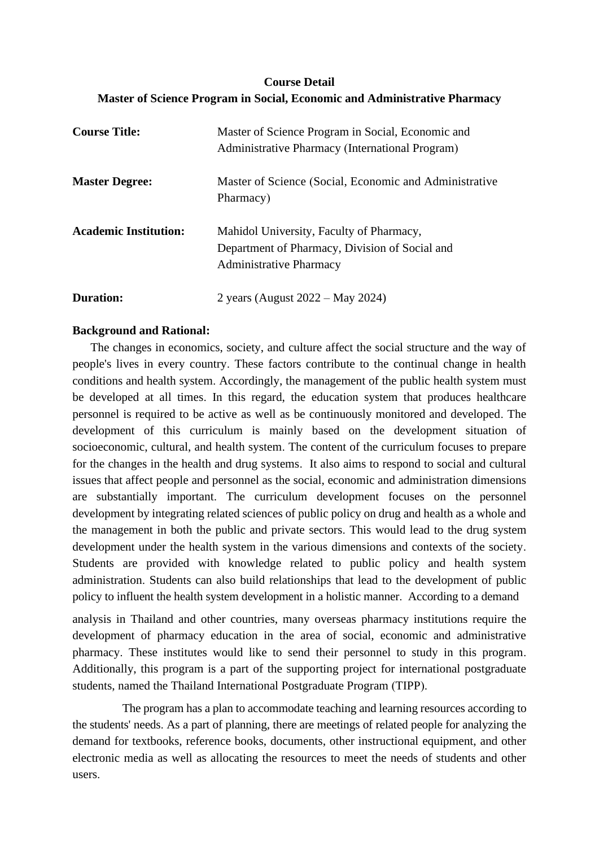# **Course Detail Master of Science Program in Social, Economic and Administrative Pharmacy**

| <b>Course Title:</b>         | Master of Science Program in Social, Economic and<br>Administrative Pharmacy (International Program)                         |
|------------------------------|------------------------------------------------------------------------------------------------------------------------------|
| <b>Master Degree:</b>        | Master of Science (Social, Economic and Administrative<br>Pharmacy)                                                          |
| <b>Academic Institution:</b> | Mahidol University, Faculty of Pharmacy,<br>Department of Pharmacy, Division of Social and<br><b>Administrative Pharmacy</b> |
| Duration:                    | 2 years (August $2022 - May 2024$ )                                                                                          |

# **Background and Rational:**

The changes in economics, society, and culture affect the social structure and the way of people's lives in every country. These factors contribute to the continual change in health conditions and health system. Accordingly, the management of the public health system must be developed at all times. In this regard, the education system that produces healthcare personnel is required to be active as well as be continuously monitored and developed. The development of this curriculum is mainly based on the development situation of socioeconomic, cultural, and health system. The content of the curriculum focuses to prepare for the changes in the health and drug systems. It also aims to respond to social and cultural issues that affect people and personnel as the social, economic and administration dimensions are substantially important. The curriculum development focuses on the personnel development by integrating related sciences of public policy on drug and health as a whole and the management in both the public and private sectors. This would lead to the drug system development under the health system in the various dimensions and contexts of the society. Students are provided with knowledge related to public policy and health system administration. Students can also build relationships that lead to the development of public policy to influent the health system development in a holistic manner. According to a demand

analysis in Thailand and other countries, many overseas pharmacy institutions require the development of pharmacy education in the area of social, economic and administrative pharmacy. These institutes would like to send their personnel to study in this program. Additionally, this program is a part of the supporting project for international postgraduate students, named the Thailand International Postgraduate Program (TIPP).

The program has a plan to accommodate teaching and learning resources according to the students' needs. As a part of planning, there are meetings of related people for analyzing the demand for textbooks, reference books, documents, other instructional equipment, and other electronic media as well as allocating the resources to meet the needs of students and other users.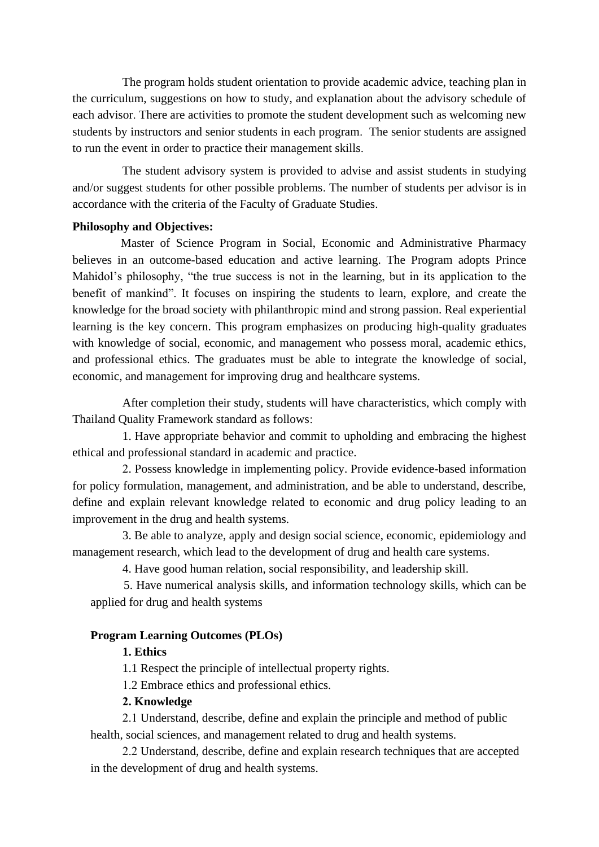The program holds student orientation to provide academic advice, teaching plan in the curriculum, suggestions on how to study, and explanation about the advisory schedule of each advisor. There are activities to promote the student development such as welcoming new students by instructors and senior students in each program. The senior students are assigned to run the event in order to practice their management skills.

The student advisory system is provided to advise and assist students in studying and/or suggest students for other possible problems. The number of students per advisor is in accordance with the criteria of the Faculty of Graduate Studies.

#### **Philosophy and Objectives:**

Master of Science Program in Social, Economic and Administrative Pharmacy believes in an outcome-based education and active learning. The Program adopts Prince Mahidol's philosophy, "the true success is not in the learning, but in its application to the benefit of mankind". It focuses on inspiring the students to learn, explore, and create the knowledge for the broad society with philanthropic mind and strong passion. Real experiential learning is the key concern. This program emphasizes on producing high-quality graduates with knowledge of social, economic, and management who possess moral, academic ethics, and professional ethics. The graduates must be able to integrate the knowledge of social, economic, and management for improving drug and healthcare systems.

After completion their study, students will have characteristics, which comply with Thailand Quality Framework standard as follows:

1. Have appropriate behavior and commit to upholding and embracing the highest ethical and professional standard in academic and practice.

2. Possess knowledge in implementing policy. Provide evidence-based information for policy formulation, management, and administration, and be able to understand, describe, define and explain relevant knowledge related to economic and drug policy leading to an improvement in the drug and health systems.

3. Be able to analyze, apply and design social science, economic, epidemiology and management research, which lead to the development of drug and health care systems.

4. Have good human relation, social responsibility, and leadership skill.

 5. Have numerical analysis skills, and information technology skills, which can be applied for drug and health systems

# **Program Learning Outcomes (PLOs)**

# **1. Ethics**

1.1 Respect the principle of intellectual property rights.

1.2 Embrace ethics and professional ethics.

# **2. Knowledge**

2.1 Understand, describe, define and explain the principle and method of public health, social sciences, and management related to drug and health systems.

2.2 Understand, describe, define and explain research techniques that are accepted in the development of drug and health systems.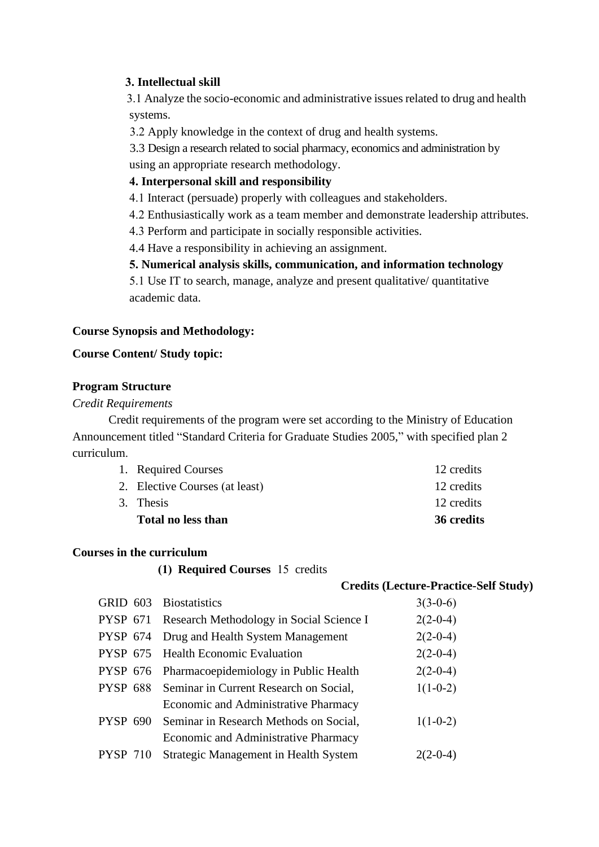## **3. Intellectual skill**

3.1 Analyze the socio-economic and administrative issues related to drug and health systems.

3.2 Apply knowledge in the context of drug and health systems.

3.3 Design a research related to social pharmacy, economics and administration by using an appropriate research methodology.

### **4. Interpersonal skill and responsibility**

4.1 Interact (persuade) properly with colleagues and stakeholders.

4.2 Enthusiastically work as a team member and demonstrate leadership attributes.

4.3 Perform and participate in socially responsible activities.

4.4 Have a responsibility in achieving an assignment.

### **5. Numerical analysis skills, communication, and information technology**

5.1 Use IT to search, manage, analyze and present qualitative/ quantitative academic data.

# **Course Synopsis and Methodology:**

### **Course Content/ Study topic:**

### **Program Structure**

### *Credit Requirements*

Credit requirements of the program were set according to the Ministry of Education Announcement titled "Standard Criteria for Graduate Studies 2005," with specified plan 2 curriculum.

| <b>Total no less than</b>      | 36 credits |
|--------------------------------|------------|
| 3. Thesis                      | 12 credits |
| 2. Elective Courses (at least) | 12 credits |
| 1. Required Courses            | 12 credits |

#### **Courses in the curriculum**

**(1) Required Courses** 15 credits

#### **Credits (Lecture-Practice-Self Study)**

|                 | GRID 603 Biostatistics                            | $3(3-0-6)$ |
|-----------------|---------------------------------------------------|------------|
|                 | PYSP 671 Research Methodology in Social Science I | $2(2-0-4)$ |
| <b>PYSP 674</b> | Drug and Health System Management                 | $2(2-0-4)$ |
|                 | PYSP 675 Health Economic Evaluation               | $2(2-0-4)$ |
| <b>PYSP 676</b> | Pharmacoepidemiology in Public Health             | $2(2-0-4)$ |
|                 | PYSP 688 Seminar in Current Research on Social,   | $1(1-0-2)$ |
|                 | Economic and Administrative Pharmacy              |            |
| <b>PYSP 690</b> | Seminar in Research Methods on Social,            | $1(1-0-2)$ |
|                 | Economic and Administrative Pharmacy              |            |
| <b>PYSP 710</b> | Strategic Management in Health System             | $2(2-0-4)$ |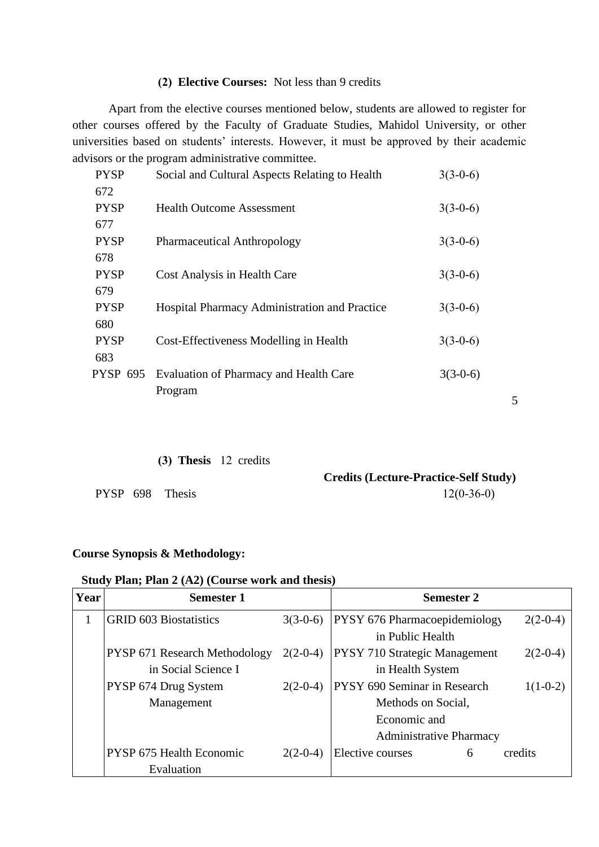#### **(2) Elective Courses:** Not less than 9 credits

Apart from the elective courses mentioned below, students are allowed to register for other courses offered by the Faculty of Graduate Studies, Mahidol University, or other universities based on students' interests. However, it must be approved by their academic advisors or the program administrative committee.

| <b>PYSP</b> | Social and Cultural Aspects Relating to Health | $3(3-0-6)$ |
|-------------|------------------------------------------------|------------|
| 672         |                                                |            |
| <b>PYSP</b> | <b>Health Outcome Assessment</b>               | $3(3-0-6)$ |
| 677         |                                                |            |
| <b>PYSP</b> | <b>Pharmaceutical Anthropology</b>             | $3(3-0-6)$ |
| 678         |                                                |            |
| <b>PYSP</b> | Cost Analysis in Health Care                   | $3(3-0-6)$ |
| 679         |                                                |            |
| <b>PYSP</b> | Hospital Pharmacy Administration and Practice  | $3(3-0-6)$ |
| 680         |                                                |            |
| <b>PYSP</b> | Cost-Effectiveness Modelling in Health         | $3(3-0-6)$ |
| 683         |                                                |            |
| PYSP 695    | Evaluation of Pharmacy and Health Care         | $3(3-0-6)$ |
|             | Program                                        |            |

# **(3) Thesis** 12 credits

**Credits (Lecture-Practice-Self Study)** PYSP 698 Thesis 12(0-36-0)

5

#### **Course Synopsis & Methodology:**

## **Study Plan; Plan 2 (A2) (Course work and thesis)**

| Year | <b>Semester 1</b>               |            | <b>Semester 2</b>                    |            |
|------|---------------------------------|------------|--------------------------------------|------------|
|      | <b>GRID 603 Biostatistics</b>   | $3(3-0-6)$ | <b>PYSY 676 Pharmacoepidemiology</b> | $2(2-0-4)$ |
|      |                                 |            | in Public Health                     |            |
|      | PYSP 671 Research Methodology   | $2(2-0-4)$ | <b>PYSY 710 Strategic Management</b> | $2(2-0-4)$ |
|      | in Social Science I             |            | in Health System                     |            |
|      | PYSP 674 Drug System            | $2(2-0-4)$ | <b>PYSY 690 Seminar in Research</b>  | $1(1-0-2)$ |
|      | Management                      |            | Methods on Social,                   |            |
|      |                                 |            | Economic and                         |            |
|      |                                 |            | <b>Administrative Pharmacy</b>       |            |
|      | <b>PYSP 675 Health Economic</b> | $2(2-0-4)$ | <b>Elective courses</b><br>6         | credits    |
|      | Evaluation                      |            |                                      |            |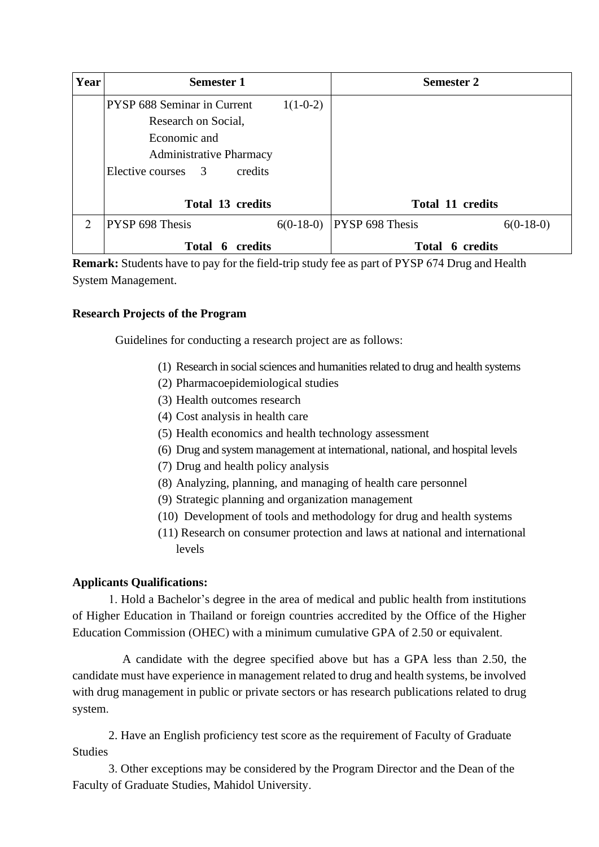| Year           | <b>Semester 1</b>                               |             | <b>Semester 2</b>       |             |
|----------------|-------------------------------------------------|-------------|-------------------------|-------------|
|                | PYSP 688 Seminar in Current                     | $1(1-0-2)$  |                         |             |
|                | Research on Social,                             |             |                         |             |
|                | Economic and                                    |             |                         |             |
|                | <b>Administrative Pharmacy</b>                  |             |                         |             |
|                | Elective courses 3<br>credits                   |             |                         |             |
|                |                                                 |             |                         |             |
|                | Total 13 credits                                |             | <b>Total 11 credits</b> |             |
| $\overline{2}$ | PYSP 698 Thesis                                 | $6(0-18-0)$ | <b>PYSP 698 Thesis</b>  | $6(0-18-0)$ |
|                | Total 6 credits<br><b>Total</b><br>credits<br>6 |             |                         |             |

**Remark:** Students have to pay for the field-trip study fee as part of PYSP 674 Drug and Health System Management.

# **Research Projects of the Program**

Guidelines for conducting a research project are as follows:

- (1) Research in social sciences and humanities related to drug and health systems
- (2) Pharmacoepidemiological studies
- (3) Health outcomes research
- (4) Cost analysis in health care
- (5) Health economics and health technology assessment
- (6) Drug and system management at international, national, and hospital levels
- (7) Drug and health policy analysis
- (8) Analyzing, planning, and managing of health care personnel
- (9) Strategic planning and organization management
- (10) Development of tools and methodology for drug and health systems
- (11) Research on consumer protection and laws at national and international levels

# **Applicants Qualifications:**

 1. Hold a Bachelor's degree in the area of medical and public health from institutions of Higher Education in Thailand or foreign countries accredited by the Office of the Higher Education Commission (OHEC) with a minimum cumulative GPA of 2.50 or equivalent.

A candidate with the degree specified above but has a GPA less than 2.50, the candidate must have experience in management related to drug and health systems, be involved with drug management in public or private sectors or has research publications related to drug system.

2. Have an English proficiency test score as the requirement of Faculty of Graduate **Studies** 

3. Other exceptions may be considered by the Program Director and the Dean of the Faculty of Graduate Studies, Mahidol University.